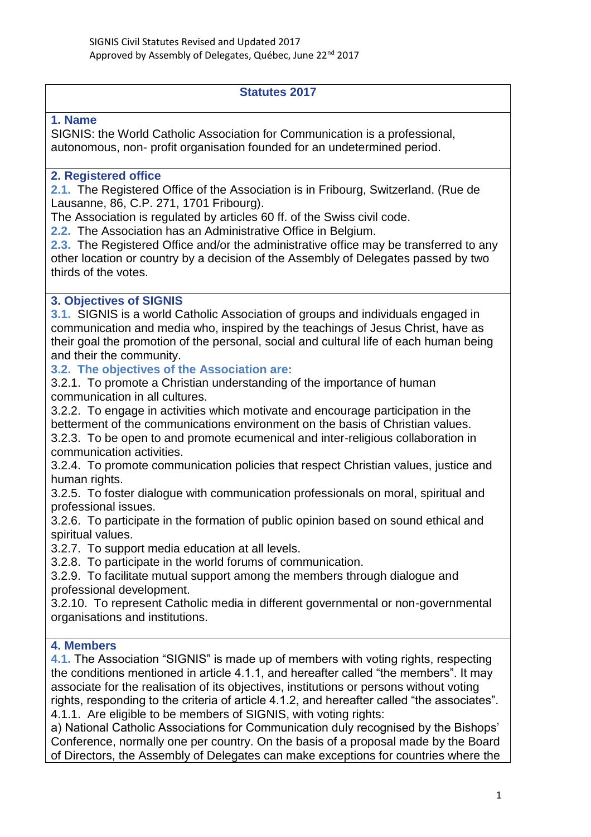#### **Statutes 2017**

#### **1. Name**

SIGNIS: the World Catholic Association for Communication is a professional, autonomous, non- profit organisation founded for an undetermined period.

#### **2. Registered office**

**2.1.** The Registered Office of the Association is in Fribourg, Switzerland. (Rue de Lausanne, 86, C.P. 271, 1701 Fribourg).

The Association is regulated by articles 60 ff. of the Swiss civil code.

**2.2.** The Association has an Administrative Office in Belgium.

**2.3.** The Registered Office and/or the administrative office may be transferred to any other location or country by a decision of the Assembly of Delegates passed by two thirds of the votes.

#### **3. Objectives of SIGNIS**

**3.1.** SIGNIS is a world Catholic Association of groups and individuals engaged in communication and media who, inspired by the teachings of Jesus Christ, have as their goal the promotion of the personal, social and cultural life of each human being and their the community.

#### **3.2. The objectives of the Association are:**

3.2.1. To promote a Christian understanding of the importance of human communication in all cultures.

3.2.2. To engage in activities which motivate and encourage participation in the betterment of the communications environment on the basis of Christian values. 3.2.3. To be open to and promote ecumenical and inter-religious collaboration in communication activities.

3.2.4. To promote communication policies that respect Christian values, justice and human rights.

3.2.5. To foster dialogue with communication professionals on moral, spiritual and professional issues.

3.2.6. To participate in the formation of public opinion based on sound ethical and spiritual values.

3.2.7. To support media education at all levels.

3.2.8. To participate in the world forums of communication.

3.2.9. To facilitate mutual support among the members through dialogue and professional development.

3.2.10. To represent Catholic media in different governmental or non-governmental organisations and institutions.

#### **4. Members**

**4.1.** The Association "SIGNIS" is made up of members with voting rights, respecting the conditions mentioned in article 4.1.1, and hereafter called "the members". It may associate for the realisation of its objectives, institutions or persons without voting rights, responding to the criteria of article 4.1.2, and hereafter called "the associates". 4.1.1. Are eligible to be members of SIGNIS, with voting rights:

a) National Catholic Associations for Communication duly recognised by the Bishops' Conference, normally one per country. On the basis of a proposal made by the Board of Directors, the Assembly of Delegates can make exceptions for countries where the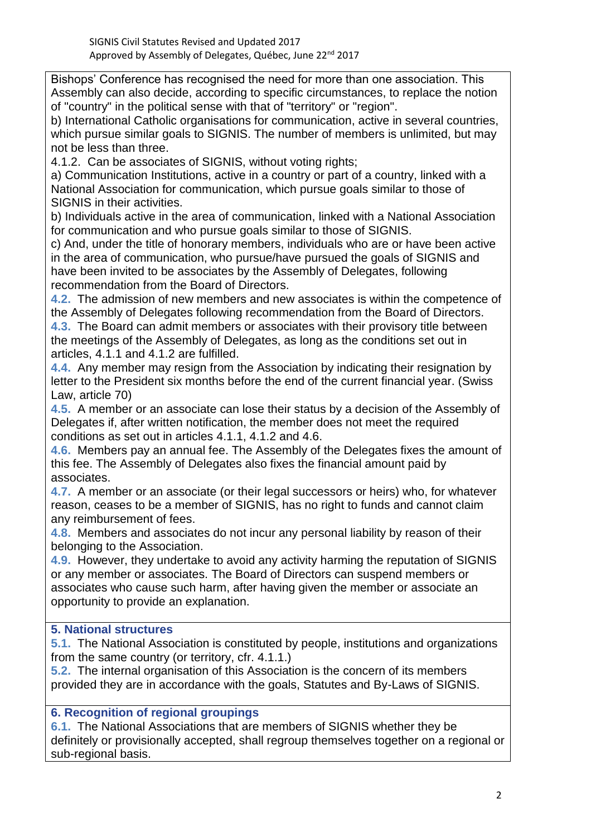Bishops' Conference has recognised the need for more than one association. This Assembly can also decide, according to specific circumstances, to replace the notion of "country" in the political sense with that of "territory" or "region".

b) International Catholic organisations for communication, active in several countries, which pursue similar goals to SIGNIS. The number of members is unlimited, but may not be less than three.

4.1.2. Can be associates of SIGNIS, without voting rights;

a) Communication Institutions, active in a country or part of a country, linked with a National Association for communication, which pursue goals similar to those of SIGNIS in their activities.

b) Individuals active in the area of communication, linked with a National Association for communication and who pursue goals similar to those of SIGNIS.

c) And, under the title of honorary members, individuals who are or have been active in the area of communication, who pursue/have pursued the goals of SIGNIS and have been invited to be associates by the Assembly of Delegates, following recommendation from the Board of Directors.

**4.2.** The admission of new members and new associates is within the competence of the Assembly of Delegates following recommendation from the Board of Directors. **4.3.** The Board can admit members or associates with their provisory title between the meetings of the Assembly of Delegates, as long as the conditions set out in articles, 4.1.1 and 4.1.2 are fulfilled.

**4.4.** Any member may resign from the Association by indicating their resignation by letter to the President six months before the end of the current financial year. (Swiss Law, article 70)

**4.5.** A member or an associate can lose their status by a decision of the Assembly of Delegates if, after written notification, the member does not meet the required conditions as set out in articles 4.1.1, 4.1.2 and 4.6.

**4.6.** Members pay an annual fee. The Assembly of the Delegates fixes the amount of this fee. The Assembly of Delegates also fixes the financial amount paid by associates.

**4.7.** A member or an associate (or their legal successors or heirs) who, for whatever reason, ceases to be a member of SIGNIS, has no right to funds and cannot claim any reimbursement of fees.

**4.8.** Members and associates do not incur any personal liability by reason of their belonging to the Association.

**4.9.** However, they undertake to avoid any activity harming the reputation of SIGNIS or any member or associates. The Board of Directors can suspend members or associates who cause such harm, after having given the member or associate an opportunity to provide an explanation.

# **5. National structures**

**5.1.** The National Association is constituted by people, institutions and organizations from the same country (or territory, cfr. 4.1.1.)

**5.2.** The internal organisation of this Association is the concern of its members provided they are in accordance with the goals, Statutes and By-Laws of SIGNIS.

# **6. Recognition of regional groupings**

**6.1.** The National Associations that are members of SIGNIS whether they be definitely or provisionally accepted, shall regroup themselves together on a regional or sub-regional basis.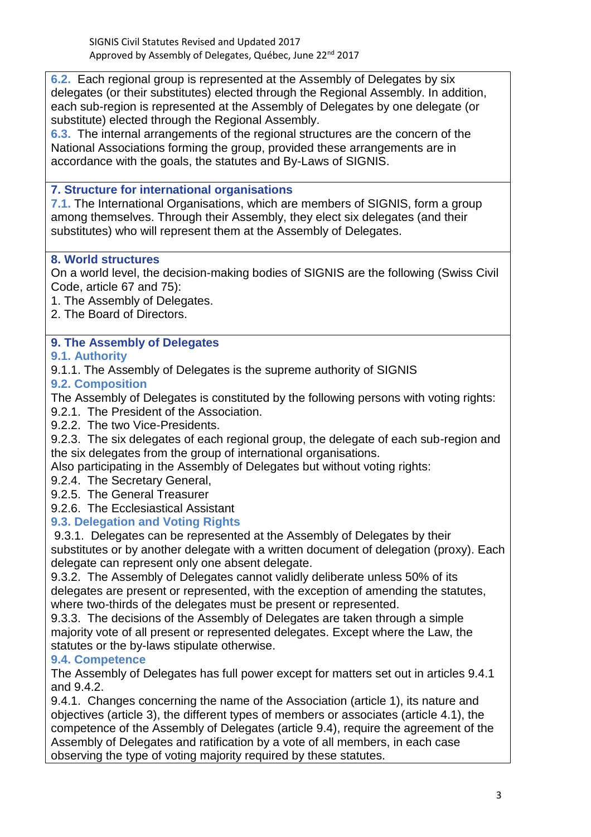**6.2.** Each regional group is represented at the Assembly of Delegates by six delegates (or their substitutes) elected through the Regional Assembly. In addition, each sub-region is represented at the Assembly of Delegates by one delegate (or substitute) elected through the Regional Assembly.

**6.3.** The internal arrangements of the regional structures are the concern of the National Associations forming the group, provided these arrangements are in accordance with the goals, the statutes and By-Laws of SIGNIS.

## **7. Structure for international organisations**

**7.1.** The International Organisations, which are members of SIGNIS, form a group among themselves. Through their Assembly, they elect six delegates (and their substitutes) who will represent them at the Assembly of Delegates.

## **8. World structures**

On a world level, the decision-making bodies of SIGNIS are the following (Swiss Civil Code, article 67 and 75):

- 1. The Assembly of Delegates.
- 2. The Board of Directors.

## **9. The Assembly of Delegates**

#### **9.1. Authority**

9.1.1. The Assembly of Delegates is the supreme authority of SIGNIS

#### **9.2. Composition**

The Assembly of Delegates is constituted by the following persons with voting rights:

- 9.2.1. The President of the Association.
- 9.2.2. The two Vice-Presidents.

9.2.3. The six delegates of each regional group, the delegate of each sub-region and the six delegates from the group of international organisations.

Also participating in the Assembly of Delegates but without voting rights:

- 9.2.4. The Secretary General,
- 9.2.5. The General Treasurer
- 9.2.6. The Ecclesiastical Assistant

## **9.3. Delegation and Voting Rights**

9.3.1. Delegates can be represented at the Assembly of Delegates by their substitutes or by another delegate with a written document of delegation (proxy). Each delegate can represent only one absent delegate.

9.3.2. The Assembly of Delegates cannot validly deliberate unless 50% of its delegates are present or represented, with the exception of amending the statutes, where two-thirds of the delegates must be present or represented.

9.3.3. The decisions of the Assembly of Delegates are taken through a simple majority vote of all present or represented delegates. Except where the Law, the statutes or the by-laws stipulate otherwise.

## **9.4. Competence**

The Assembly of Delegates has full power except for matters set out in articles 9.4.1 and 9.4.2.

9.4.1. Changes concerning the name of the Association (article 1), its nature and objectives (article 3), the different types of members or associates (article 4.1), the competence of the Assembly of Delegates (article 9.4), require the agreement of the Assembly of Delegates and ratification by a vote of all members, in each case observing the type of voting majority required by these statutes.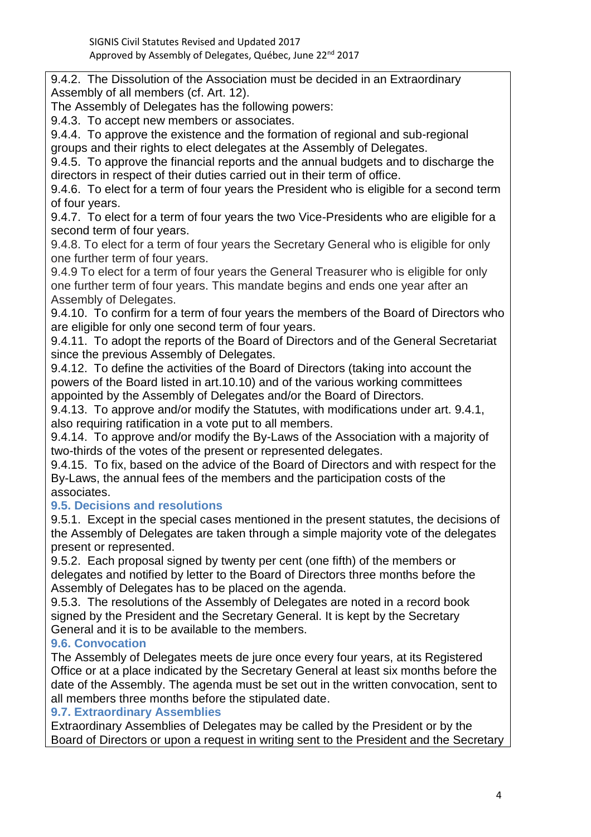9.4.2. The Dissolution of the Association must be decided in an Extraordinary Assembly of all members (cf. Art. 12).

The Assembly of Delegates has the following powers:

9.4.3. To accept new members or associates.

9.4.4. To approve the existence and the formation of regional and sub-regional

groups and their rights to elect delegates at the Assembly of Delegates.

9.4.5. To approve the financial reports and the annual budgets and to discharge the directors in respect of their duties carried out in their term of office.

9.4.6. To elect for a term of four years the President who is eligible for a second term of four years.

9.4.7. To elect for a term of four years the two Vice-Presidents who are eligible for a second term of four years.

9.4.8. To elect for a term of four years the Secretary General who is eligible for only one further term of four years.

9.4.9 To elect for a term of four years the General Treasurer who is eligible for only one further term of four years. This mandate begins and ends one year after an Assembly of Delegates.

9.4.10. To confirm for a term of four years the members of the Board of Directors who are eligible for only one second term of four years.

9.4.11. To adopt the reports of the Board of Directors and of the General Secretariat since the previous Assembly of Delegates.

9.4.12. To define the activities of the Board of Directors (taking into account the powers of the Board listed in art.10.10) and of the various working committees appointed by the Assembly of Delegates and/or the Board of Directors.

9.4.13. To approve and/or modify the Statutes, with modifications under art. 9.4.1, also requiring ratification in a vote put to all members.

9.4.14. To approve and/or modify the By-Laws of the Association with a majority of two-thirds of the votes of the present or represented delegates.

9.4.15. To fix, based on the advice of the Board of Directors and with respect for the By-Laws, the annual fees of the members and the participation costs of the associates.

# **9.5. Decisions and resolutions**

9.5.1. Except in the special cases mentioned in the present statutes, the decisions of the Assembly of Delegates are taken through a simple majority vote of the delegates present or represented.

9.5.2. Each proposal signed by twenty per cent (one fifth) of the members or delegates and notified by letter to the Board of Directors three months before the Assembly of Delegates has to be placed on the agenda.

9.5.3. The resolutions of the Assembly of Delegates are noted in a record book signed by the President and the Secretary General. It is kept by the Secretary General and it is to be available to the members.

# **9.6. Convocation**

The Assembly of Delegates meets de jure once every four years, at its Registered Office or at a place indicated by the Secretary General at least six months before the date of the Assembly. The agenda must be set out in the written convocation, sent to all members three months before the stipulated date.

## **9.7. Extraordinary Assemblies**

Extraordinary Assemblies of Delegates may be called by the President or by the Board of Directors or upon a request in writing sent to the President and the Secretary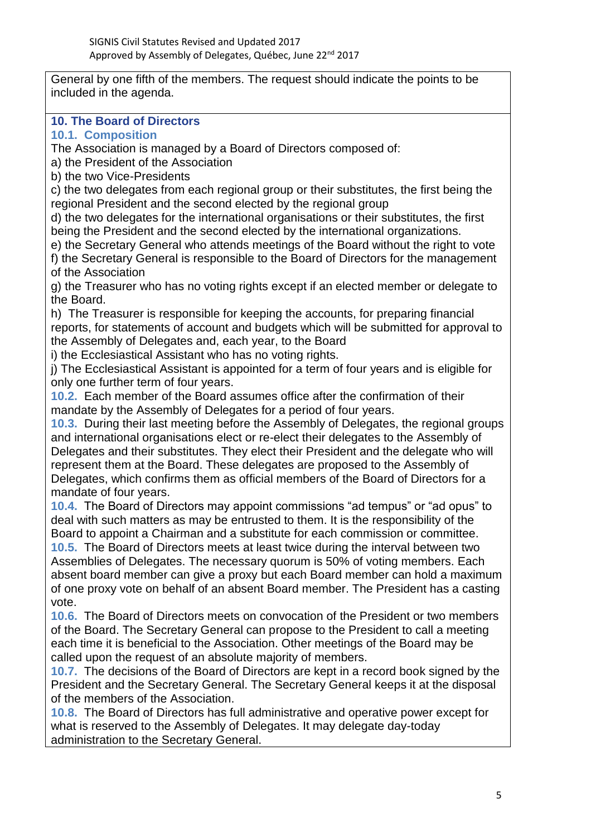General by one fifth of the members. The request should indicate the points to be included in the agenda.

## **10. The Board of Directors**

**10.1. Composition** 

The Association is managed by a Board of Directors composed of:

a) the President of the Association

b) the two Vice-Presidents

c) the two delegates from each regional group or their substitutes, the first being the regional President and the second elected by the regional group

d) the two delegates for the international organisations or their substitutes, the first being the President and the second elected by the international organizations.

e) the Secretary General who attends meetings of the Board without the right to vote f) the Secretary General is responsible to the Board of Directors for the management of the Association

g) the Treasurer who has no voting rights except if an elected member or delegate to the Board.

h) The Treasurer is responsible for keeping the accounts, for preparing financial reports, for statements of account and budgets which will be submitted for approval to the Assembly of Delegates and, each year, to the Board

i) the Ecclesiastical Assistant who has no voting rights.

j) The Ecclesiastical Assistant is appointed for a term of four years and is eligible for only one further term of four years.

**10.2.** Each member of the Board assumes office after the confirmation of their mandate by the Assembly of Delegates for a period of four years.

**10.3.** During their last meeting before the Assembly of Delegates, the regional groups and international organisations elect or re-elect their delegates to the Assembly of Delegates and their substitutes. They elect their President and the delegate who will represent them at the Board. These delegates are proposed to the Assembly of Delegates, which confirms them as official members of the Board of Directors for a mandate of four years.

**10.4.** The Board of Directors may appoint commissions "ad tempus" or "ad opus" to deal with such matters as may be entrusted to them. It is the responsibility of the Board to appoint a Chairman and a substitute for each commission or committee.

**10.5.** The Board of Directors meets at least twice during the interval between two Assemblies of Delegates. The necessary quorum is 50% of voting members. Each absent board member can give a proxy but each Board member can hold a maximum of one proxy vote on behalf of an absent Board member. The President has a casting vote.

**10.6.** The Board of Directors meets on convocation of the President or two members of the Board. The Secretary General can propose to the President to call a meeting each time it is beneficial to the Association. Other meetings of the Board may be called upon the request of an absolute majority of members.

**10.7.** The decisions of the Board of Directors are kept in a record book signed by the President and the Secretary General. The Secretary General keeps it at the disposal of the members of the Association.

**10.8.** The Board of Directors has full administrative and operative power except for what is reserved to the Assembly of Delegates. It may delegate day-today administration to the Secretary General.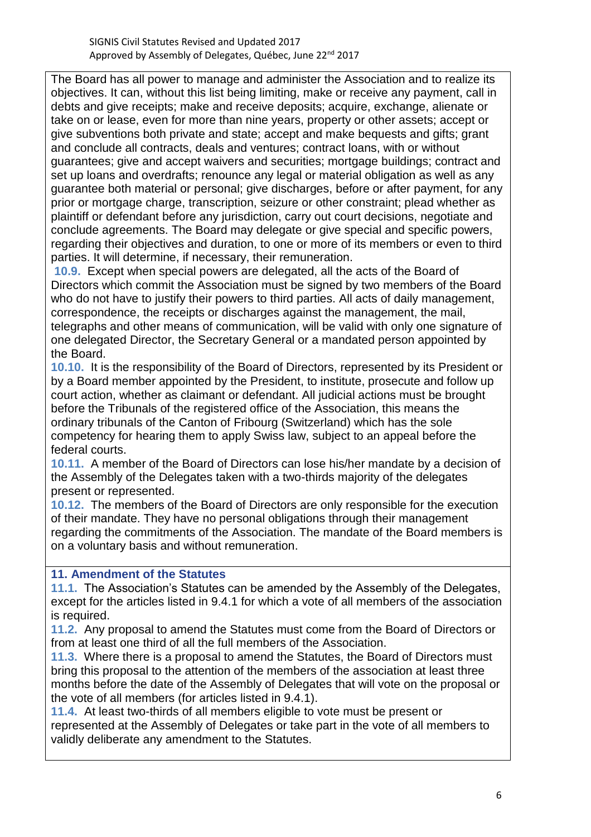The Board has all power to manage and administer the Association and to realize its objectives. It can, without this list being limiting, make or receive any payment, call in debts and give receipts; make and receive deposits; acquire, exchange, alienate or take on or lease, even for more than nine years, property or other assets; accept or give subventions both private and state; accept and make bequests and gifts; grant and conclude all contracts, deals and ventures; contract loans, with or without guarantees; give and accept waivers and securities; mortgage buildings; contract and set up loans and overdrafts; renounce any legal or material obligation as well as any guarantee both material or personal; give discharges, before or after payment, for any prior or mortgage charge, transcription, seizure or other constraint; plead whether as plaintiff or defendant before any jurisdiction, carry out court decisions, negotiate and conclude agreements. The Board may delegate or give special and specific powers, regarding their objectives and duration, to one or more of its members or even to third parties. It will determine, if necessary, their remuneration.

**10.9.** Except when special powers are delegated, all the acts of the Board of Directors which commit the Association must be signed by two members of the Board who do not have to justify their powers to third parties. All acts of daily management, correspondence, the receipts or discharges against the management, the mail, telegraphs and other means of communication, will be valid with only one signature of one delegated Director, the Secretary General or a mandated person appointed by the Board.

**10.10.** It is the responsibility of the Board of Directors, represented by its President or by a Board member appointed by the President, to institute, prosecute and follow up court action, whether as claimant or defendant. All judicial actions must be brought before the Tribunals of the registered office of the Association, this means the ordinary tribunals of the Canton of Fribourg (Switzerland) which has the sole competency for hearing them to apply Swiss law, subject to an appeal before the federal courts.

**10.11.** A member of the Board of Directors can lose his/her mandate by a decision of the Assembly of the Delegates taken with a two-thirds majority of the delegates present or represented.

**10.12.** The members of the Board of Directors are only responsible for the execution of their mandate. They have no personal obligations through their management regarding the commitments of the Association. The mandate of the Board members is on a voluntary basis and without remuneration.

## **11. Amendment of the Statutes**

**11.1.** The Association's Statutes can be amended by the Assembly of the Delegates, except for the articles listed in 9.4.1 for which a vote of all members of the association is required.

**11.2.** Any proposal to amend the Statutes must come from the Board of Directors or from at least one third of all the full members of the Association.

**11.3.** Where there is a proposal to amend the Statutes, the Board of Directors must bring this proposal to the attention of the members of the association at least three months before the date of the Assembly of Delegates that will vote on the proposal or the vote of all members (for articles listed in 9.4.1).

**11.4.** At least two-thirds of all members eligible to vote must be present or represented at the Assembly of Delegates or take part in the vote of all members to validly deliberate any amendment to the Statutes.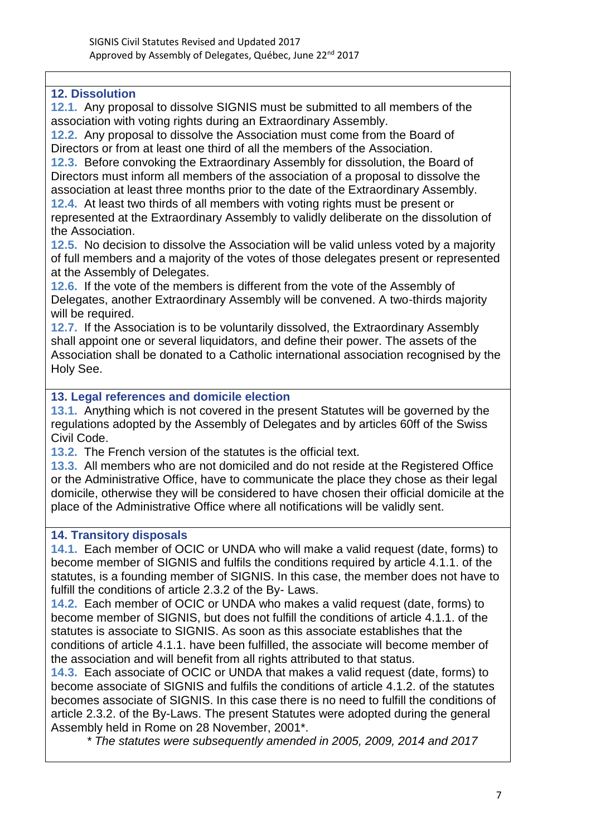## **12. Dissolution**

**12.1.** Any proposal to dissolve SIGNIS must be submitted to all members of the association with voting rights during an Extraordinary Assembly.

**12.2.** Any proposal to dissolve the Association must come from the Board of Directors or from at least one third of all the members of the Association.

**12.3.** Before convoking the Extraordinary Assembly for dissolution, the Board of Directors must inform all members of the association of a proposal to dissolve the association at least three months prior to the date of the Extraordinary Assembly.

**12.4.** At least two thirds of all members with voting rights must be present or represented at the Extraordinary Assembly to validly deliberate on the dissolution of the Association.

**12.5.** No decision to dissolve the Association will be valid unless voted by a majority of full members and a majority of the votes of those delegates present or represented at the Assembly of Delegates.

**12.6.** If the vote of the members is different from the vote of the Assembly of Delegates, another Extraordinary Assembly will be convened. A two-thirds majority will be required.

**12.7.** If the Association is to be voluntarily dissolved, the Extraordinary Assembly shall appoint one or several liquidators, and define their power. The assets of the Association shall be donated to a Catholic international association recognised by the Holy See.

## **13. Legal references and domicile election**

**13.1.** Anything which is not covered in the present Statutes will be governed by the regulations adopted by the Assembly of Delegates and by articles 60ff of the Swiss Civil Code.

**13.2.** The French version of the statutes is the official text.

**13.3.** All members who are not domiciled and do not reside at the Registered Office or the Administrative Office, have to communicate the place they chose as their legal domicile, otherwise they will be considered to have chosen their official domicile at the place of the Administrative Office where all notifications will be validly sent.

#### **14. Transitory disposals**

**14.1.** Each member of OCIC or UNDA who will make a valid request (date, forms) to become member of SIGNIS and fulfils the conditions required by article 4.1.1. of the statutes, is a founding member of SIGNIS. In this case, the member does not have to fulfill the conditions of article 2.3.2 of the By- Laws.

**14.2.** Each member of OCIC or UNDA who makes a valid request (date, forms) to become member of SIGNIS, but does not fulfill the conditions of article 4.1.1. of the statutes is associate to SIGNIS. As soon as this associate establishes that the conditions of article 4.1.1. have been fulfilled, the associate will become member of the association and will benefit from all rights attributed to that status.

**14.3.** Each associate of OCIC or UNDA that makes a valid request (date, forms) to become associate of SIGNIS and fulfils the conditions of article 4.1.2. of the statutes becomes associate of SIGNIS. In this case there is no need to fulfill the conditions of article 2.3.2. of the By-Laws. The present Statutes were adopted during the general Assembly held in Rome on 28 November, 2001\*.

*\* The statutes were subsequently amended in 2005, 2009, 2014 and 2017*